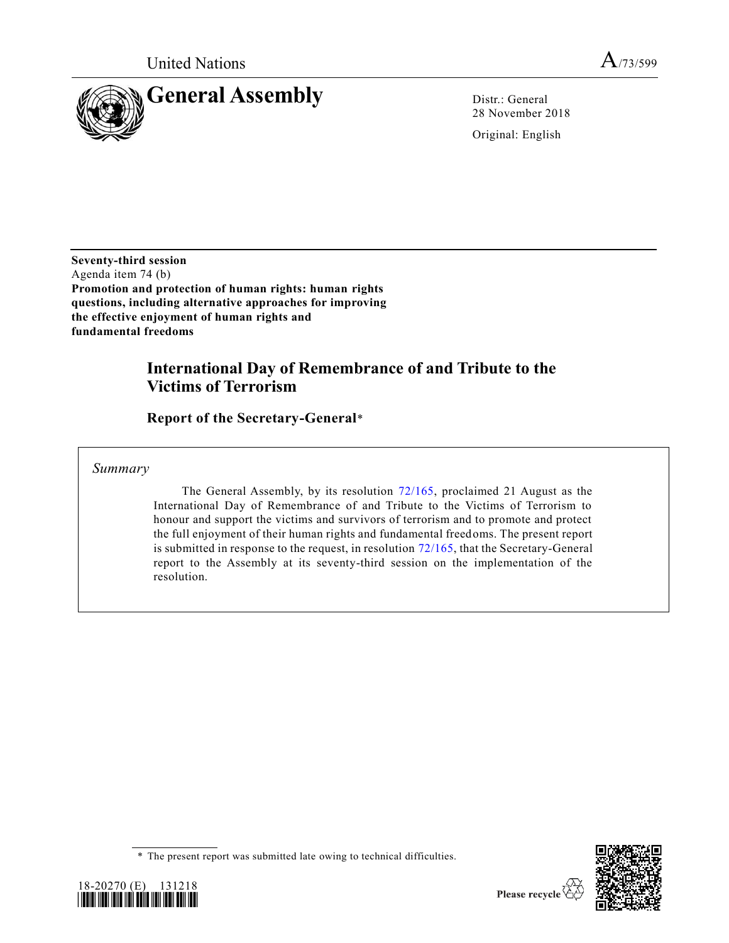

28 November 2018

Original: English

**Seventy-third session** Agenda item 74 (b) **Promotion and protection of human rights: human rights questions, including alternative approaches for improving the effective enjoyment of human rights and fundamental freedoms**

# **International Day of Remembrance of and Tribute to the Victims of Terrorism**

**Report of the Secretary-General**\*

*Summary*

The General Assembly, by its resolution [72/165,](https://undocs.org/A/RES/72/165) proclaimed 21 August as the International Day of Remembrance of and Tribute to the Victims of Terrorism to honour and support the victims and survivors of terrorism and to promote and protect the full enjoyment of their human rights and fundamental freedoms. The present report is submitted in response to the request, in resolution [72/165,](https://undocs.org/A/RES/72/165) that the Secretary-General report to the Assembly at its seventy-third session on the implementation of the resolution.





<sup>\*</sup> The present report was submitted late owing to technical difficulties.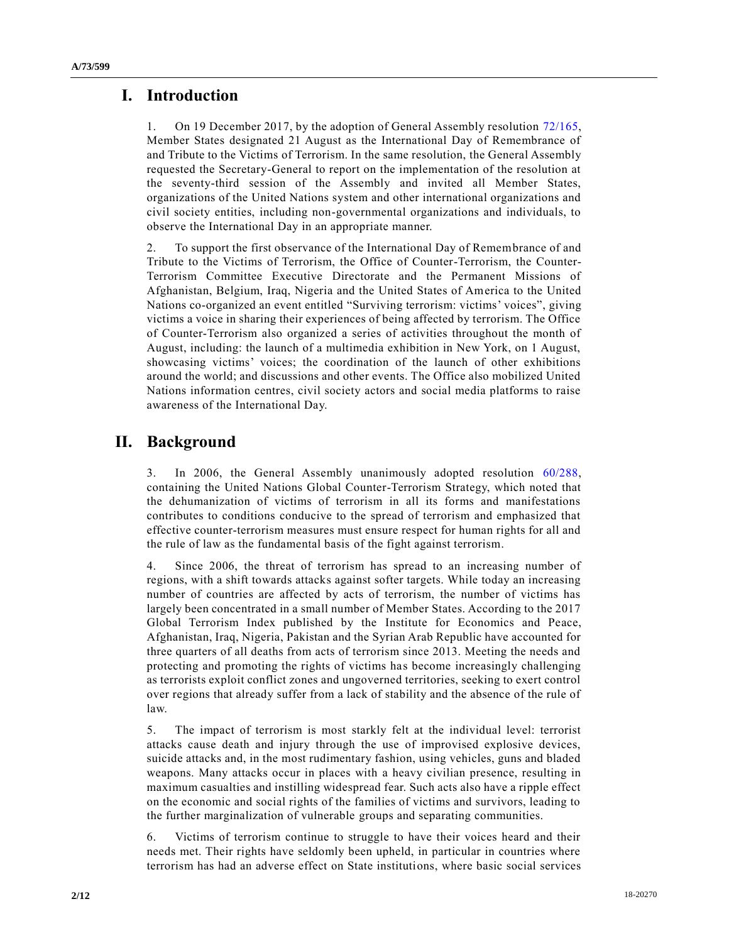## **I. Introduction**

1. On 19 December 2017, by the adoption of General Assembly resolution [72/165,](https://undocs.org/A/RES/72/165) Member States designated 21 August as the International Day of Remembrance of and Tribute to the Victims of Terrorism. In the same resolution, the General Assembly requested the Secretary-General to report on the implementation of the resolution at the seventy-third session of the Assembly and invited all Member States, organizations of the United Nations system and other international organizations and civil society entities, including non-governmental organizations and individuals, to observe the International Day in an appropriate manner.

2. To support the first observance of the International Day of Remembrance of and Tribute to the Victims of Terrorism, the Office of Counter-Terrorism, the Counter-Terrorism Committee Executive Directorate and the Permanent Missions of Afghanistan, Belgium, Iraq, Nigeria and the United States of America to the United Nations co-organized an event entitled "Surviving terrorism: victims' voices", giving victims a voice in sharing their experiences of being affected by terrorism. The Office of Counter-Terrorism also organized a series of activities throughout the month of August, including: the launch of a multimedia exhibition in New York, on 1 August, showcasing victims' voices; the coordination of the launch of other exhibitions around the world; and discussions and other events. The Office also mobilized United Nations information centres, civil society actors and social media platforms to raise awareness of the International Day.

## **II. Background**

3. In 2006, the General Assembly unanimously adopted resolution [60/288,](https://undocs.org/A/RES/60/288) containing the United Nations Global Counter-Terrorism Strategy, which noted that the dehumanization of victims of terrorism in all its forms and manifestations contributes to conditions conducive to the spread of terrorism and emphasized that effective counter-terrorism measures must ensure respect for human rights for all and the rule of law as the fundamental basis of the fight against terrorism.

4. Since 2006, the threat of terrorism has spread to an increasing number of regions, with a shift towards attacks against softer targets. While today an increasing number of countries are affected by acts of terrorism, the number of victims has largely been concentrated in a small number of Member States. According to the 2017 Global Terrorism Index published by the Institute for Economics and Peace, Afghanistan, Iraq, Nigeria, Pakistan and the Syrian Arab Republic have accounted for three quarters of all deaths from acts of terrorism since 2013. Meeting the needs and protecting and promoting the rights of victims has become increasingly challenging as terrorists exploit conflict zones and ungoverned territories, seeking to exert control over regions that already suffer from a lack of stability and the absence of the rule of law.

5. The impact of terrorism is most starkly felt at the individual level: terrorist attacks cause death and injury through the use of improvised explosive devices, suicide attacks and, in the most rudimentary fashion, using vehicles, guns and bladed weapons. Many attacks occur in places with a heavy civilian presence, resulting in maximum casualties and instilling widespread fear. Such acts also have a ripple effect on the economic and social rights of the families of victims and survivors, leading to the further marginalization of vulnerable groups and separating communities.

6. Victims of terrorism continue to struggle to have their voices heard and their needs met. Their rights have seldomly been upheld, in particular in countries where terrorism has had an adverse effect on State institutions, where basic social services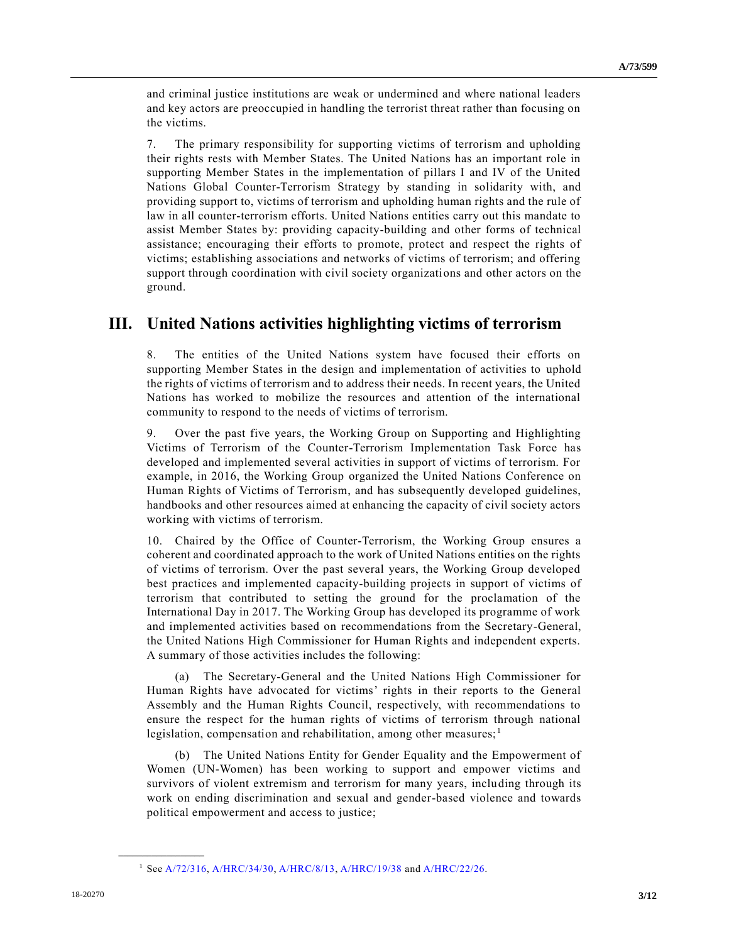and criminal justice institutions are weak or undermined and where national leaders and key actors are preoccupied in handling the terrorist threat rather than focusing on the victims.

7. The primary responsibility for supporting victims of terrorism and upholding their rights rests with Member States. The United Nations has an important role in supporting Member States in the implementation of pillars I and IV of the United Nations Global Counter-Terrorism Strategy by standing in solidarity with, and providing support to, victims of terrorism and upholding human rights and the rule of law in all counter-terrorism efforts. United Nations entities carry out this mandate to assist Member States by: providing capacity-building and other forms of technical assistance; encouraging their efforts to promote, protect and respect the rights of victims; establishing associations and networks of victims of terrorism; and offering support through coordination with civil society organizations and other actors on the ground.

## **III. United Nations activities highlighting victims of terrorism**

8. The entities of the United Nations system have focused their efforts on supporting Member States in the design and implementation of activities to uphold the rights of victims of terrorism and to address their needs. In recent years, the United Nations has worked to mobilize the resources and attention of the international community to respond to the needs of victims of terrorism.

9. Over the past five years, the Working Group on Supporting and Highlighting Victims of Terrorism of the Counter-Terrorism Implementation Task Force has developed and implemented several activities in support of victims of terrorism. For example, in 2016, the Working Group organized the United Nations Conference on Human Rights of Victims of Terrorism, and has subsequently developed guidelines, handbooks and other resources aimed at enhancing the capacity of civil society actors working with victims of terrorism.

10. Chaired by the Office of Counter-Terrorism, the Working Group ensures a coherent and coordinated approach to the work of United Nations entities on the rights of victims of terrorism. Over the past several years, the Working Group developed best practices and implemented capacity-building projects in support of victims of terrorism that contributed to setting the ground for the proclamation of the International Day in 2017. The Working Group has developed its programme of work and implemented activities based on recommendations from the Secretary-General, the United Nations High Commissioner for Human Rights and independent experts. A summary of those activities includes the following:

(a) The Secretary-General and the United Nations High Commissioner for Human Rights have advocated for victims' rights in their reports to the General Assembly and the Human Rights Council, respectively, with recommendations to ensure the respect for the human rights of victims of terrorism through national legislation, compensation and rehabilitation, among other measures; $<sup>1</sup>$ </sup>

(b) The United Nations Entity for Gender Equality and the Empowerment of Women (UN-Women) has been working to support and empower victims and survivors of violent extremism and terrorism for many years, including through its work on ending discrimination and sexual and gender-based violence and towards political empowerment and access to justice;

**\_\_\_\_\_\_\_\_\_\_\_\_\_\_\_\_\_\_**

<sup>1</sup> Se[e A/72/316,](https://undocs.org/A/72/316) [A/HRC/34/30,](https://undocs.org/A/HRC/34/30) [A/HRC/8/13,](https://undocs.org/A/HRC/8/13) [A/HRC/19/38](https://undocs.org/A/HRC/19/38) an[d A/HRC/22/26.](https://undocs.org/A/HRC/22/26)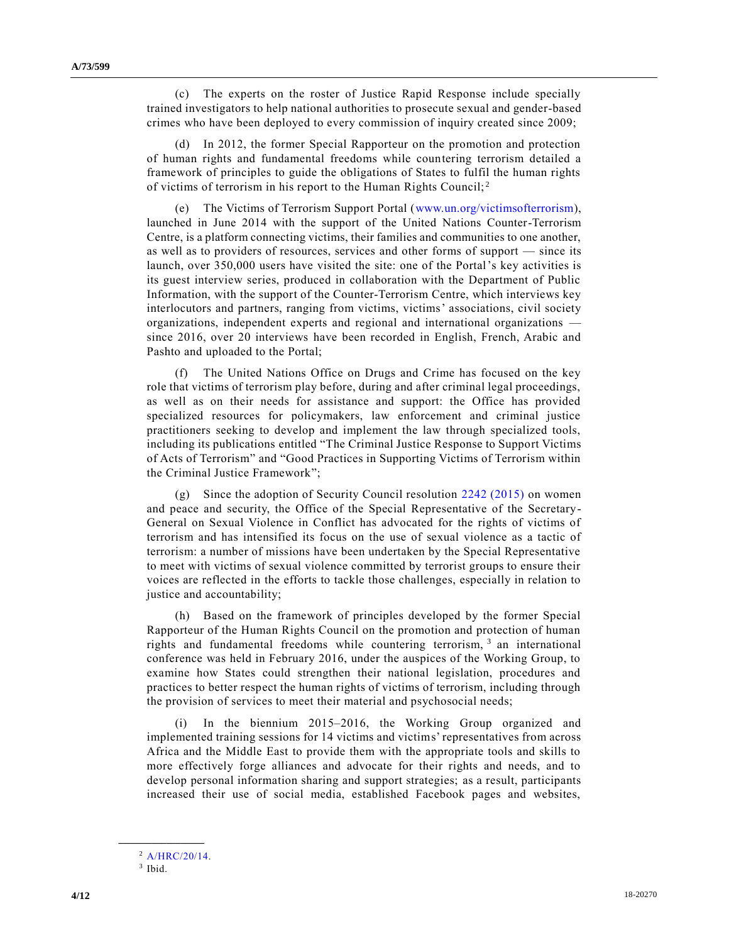(c) The experts on the roster of Justice Rapid Response include specially trained investigators to help national authorities to prosecute sexual and gender-based crimes who have been deployed to every commission of inquiry created since 2009;

(d) In 2012, the former Special Rapporteur on the promotion and protection of human rights and fundamental freedoms while countering terrorism detailed a framework of principles to guide the obligations of States to fulfil the human rights of victims of terrorism in his report to the Human Rights Council; <sup>2</sup>

(e) The Victims of Terrorism Support Portal [\(www.un.org/victimsofterrorism\)](http://www.un.org/victimsofterrorism), launched in June 2014 with the support of the United Nations Counter-Terrorism Centre, is a platform connecting victims, their families and communities to one another, as well as to providers of resources, services and other forms of support — since its launch, over 350,000 users have visited the site: one of the Portal's key activities is its guest interview series, produced in collaboration with the Department of Public Information, with the support of the Counter-Terrorism Centre, which interviews key interlocutors and partners, ranging from victims, victims' associations, civil society organizations, independent experts and regional and international organizations since 2016, over 20 interviews have been recorded in English, French, Arabic and Pashto and uploaded to the Portal;

The United Nations Office on Drugs and Crime has focused on the key role that victims of terrorism play before, during and after criminal legal proceedings, as well as on their needs for assistance and support: the Office has provided specialized resources for policymakers, law enforcement and criminal justice practitioners seeking to develop and implement the law through specialized tools, including its publications entitled "The Criminal Justice Response to Support Victims of Acts of Terrorism" and "Good Practices in Supporting Victims of Terrorism within the Criminal Justice Framework";

(g) Since the adoption of Security Council resolution [2242 \(2015\)](https://undocs.org/S/RES/2242(2015)) on women and peace and security, the Office of the Special Representative of the Secretary-General on Sexual Violence in Conflict has advocated for the rights of victims of terrorism and has intensified its focus on the use of sexual violence as a tactic of terrorism: a number of missions have been undertaken by the Special Representative to meet with victims of sexual violence committed by terrorist groups to ensure their voices are reflected in the efforts to tackle those challenges, especially in relation to justice and accountability;

(h) Based on the framework of principles developed by the former Special Rapporteur of the Human Rights Council on the promotion and protection of human rights and fundamental freedoms while countering terrorism,  $3$  an international conference was held in February 2016, under the auspices of the Working Group, to examine how States could strengthen their national legislation, procedures and practices to better respect the human rights of victims of terrorism, including through the provision of services to meet their material and psychosocial needs;

(i) In the biennium 2015–2016, the Working Group organized and implemented training sessions for 14 victims and victims' representatives from across Africa and the Middle East to provide them with the appropriate tools and skills to more effectively forge alliances and advocate for their rights and needs, and to develop personal information sharing and support strategies; as a result, participants increased their use of social media, established Facebook pages and websites,

**\_\_\_\_\_\_\_\_\_\_\_\_\_\_\_\_\_\_**

<sup>2</sup> [A/HRC/20/14.](https://undocs.org/A/HRC/20/14)

<sup>3</sup> Ibid.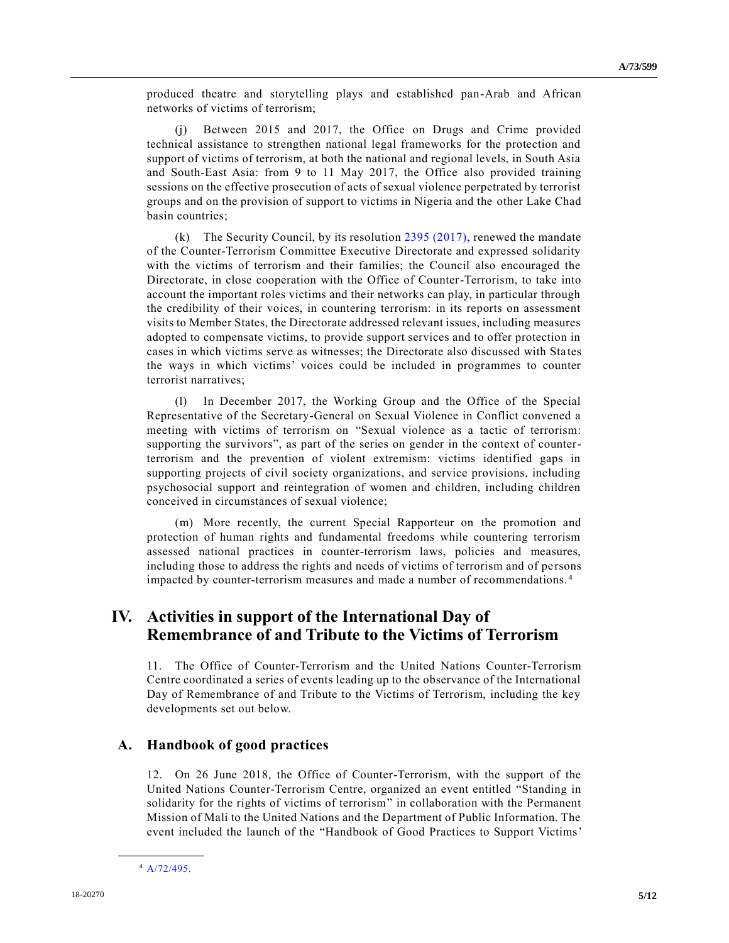produced theatre and storytelling plays and established pan-Arab and African networks of victims of terrorism;

(j) Between 2015 and 2017, the Office on Drugs and Crime provided technical assistance to strengthen national legal frameworks for the protection and support of victims of terrorism, at both the national and regional levels, in South Asia and South-East Asia: from 9 to 11 May 2017, the Office also provided training sessions on the effective prosecution of acts of sexual violence perpetrated by terrorist groups and on the provision of support to victims in Nigeria and the other Lake Chad basin countries;

(k) The Security Council, by its resolution  $2395 (2017)$ , renewed the mandate of the Counter-Terrorism Committee Executive Directorate and expressed solidarity with the victims of terrorism and their families; the Council also encouraged the Directorate, in close cooperation with the Office of Counter-Terrorism, to take into account the important roles victims and their networks can play, in particular through the credibility of their voices, in countering terrorism: in its reports on assessment visits to Member States, the Directorate addressed relevant issues, including measures adopted to compensate victims, to provide support services and to offer protection in cases in which victims serve as witnesses; the Directorate also discussed with Sta tes the ways in which victims' voices could be included in programmes to counter terrorist narratives;

(l) In December 2017, the Working Group and the Office of the Special Representative of the Secretary-General on Sexual Violence in Conflict convened a meeting with victims of terrorism on "Sexual violence as a tactic of terrorism: supporting the survivors", as part of the series on gender in the context of counterterrorism and the prevention of violent extremism: victims identified gaps in supporting projects of civil society organizations, and service provisions, including psychosocial support and reintegration of women and children, including children conceived in circumstances of sexual violence;

(m) More recently, the current Special Rapporteur on the promotion and protection of human rights and fundamental freedoms while countering terrorism assessed national practices in counter-terrorism laws, policies and measures, including those to address the rights and needs of victims of terrorism and of persons impacted by counter-terrorism measures and made a number of recommendations. <sup>4</sup>

## **IV. Activities in support of the International Day of Remembrance of and Tribute to the Victims of Terrorism**

11. The Office of Counter-Terrorism and the United Nations Counter-Terrorism Centre coordinated a series of events leading up to the observance of the International Day of Remembrance of and Tribute to the Victims of Terrorism, including the key developments set out below.

#### **A. Handbook of good practices**

12. On 26 June 2018, the Office of Counter-Terrorism, with the support of the United Nations Counter-Terrorism Centre, organized an event entitled "Standing in solidarity for the rights of victims of terrorism" in collaboration with the Permanent Mission of Mali to the United Nations and the Department of Public Information. The event included the launch of the "Handbook of Good Practices to Support Victims'

**\_\_\_\_\_\_\_\_\_\_\_\_\_\_\_\_\_\_** <sup>4</sup> [A/72/495.](https://undocs.org/A/72/495)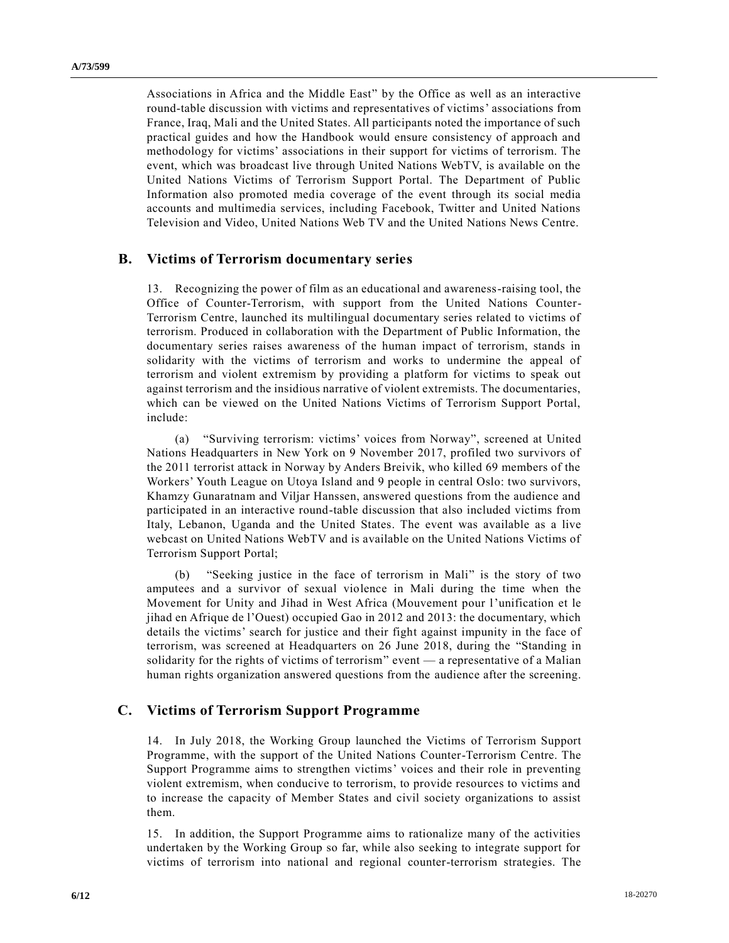Associations in Africa and the Middle East" by the Office as well as an interactive round-table discussion with victims and representatives of victims' associations from France, Iraq, Mali and the United States. All participants noted the importance of such practical guides and how the Handbook would ensure consistency of approach and methodology for victims' associations in their support for victims of terrorism. The event, which was broadcast live through United Nations WebTV, is available on the United Nations Victims of Terrorism Support Portal. The Department of Public Information also promoted media coverage of the event through its social media accounts and multimedia services, including Facebook, Twitter and United Nations Television and Video, United Nations Web TV and the United Nations News Centre.

#### **B. Victims of Terrorism documentary series**

13. Recognizing the power of film as an educational and awareness-raising tool, the Office of Counter-Terrorism, with support from the United Nations Counter-Terrorism Centre, launched its multilingual documentary series related to victims of terrorism. Produced in collaboration with the Department of Public Information, the documentary series raises awareness of the human impact of terrorism, stands in solidarity with the victims of terrorism and works to undermine the appeal of terrorism and violent extremism by providing a platform for victims to speak out against terrorism and the insidious narrative of violent extremists. The documentaries, which can be viewed on the United Nations Victims of Terrorism Support Portal, include:

(a) "Surviving terrorism: victims' voices from Norway", screened at United Nations Headquarters in New York on 9 November 2017, profiled two survivors of the 2011 terrorist attack in Norway by Anders Breivik, who killed 69 members of the Workers' Youth League on Utoya Island and 9 people in central Oslo: two survivors, Khamzy Gunaratnam and Viljar Hanssen, answered questions from the audience and participated in an interactive round-table discussion that also included victims from Italy, Lebanon, Uganda and the United States. The event was available as a live webcast on United Nations WebTV and is available on the United Nations Victims of Terrorism Support Portal;

"Seeking justice in the face of terrorism in Mali" is the story of two amputees and a survivor of sexual violence in Mali during the time when the Movement for Unity and Jihad in West Africa (Mouvement pour l'unification et le jihad en Afrique de l'Ouest) occupied Gao in 2012 and 2013: the documentary, which details the victims' search for justice and their fight against impunity in the face of terrorism, was screened at Headquarters on 26 June 2018, during the "Standing in solidarity for the rights of victims of terrorism" event — a representative of a Malian human rights organization answered questions from the audience after the screening.

#### **C. Victims of Terrorism Support Programme**

14. In July 2018, the Working Group launched the Victims of Terrorism Support Programme, with the support of the United Nations Counter-Terrorism Centre. The Support Programme aims to strengthen victims' voices and their role in preventing violent extremism, when conducive to terrorism, to provide resources to victims and to increase the capacity of Member States and civil society organizations to assist them.

15. In addition, the Support Programme aims to rationalize many of the activities undertaken by the Working Group so far, while also seeking to integrate support for victims of terrorism into national and regional counter-terrorism strategies. The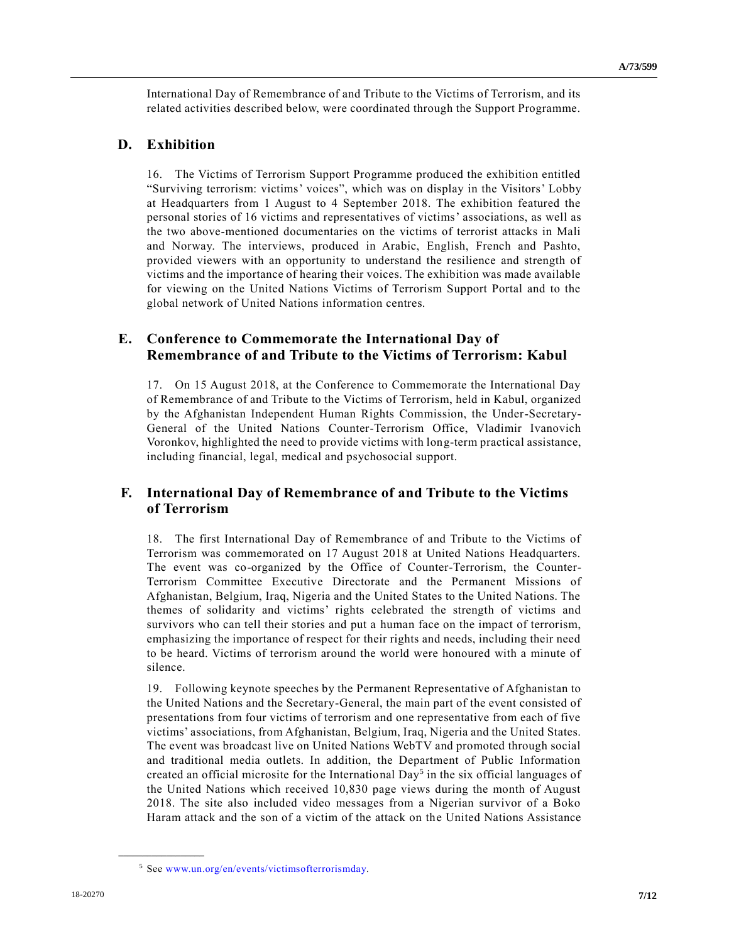International Day of Remembrance of and Tribute to the Victims of Terrorism, and its related activities described below, were coordinated through the Support Programme.

#### **D. Exhibition**

16. The Victims of Terrorism Support Programme produced the exhibition entitled "Surviving terrorism: victims' voices", which was on display in the Visitors' Lobby at Headquarters from 1 August to 4 September 2018. The exhibition featured the personal stories of 16 victims and representatives of victims' associations, as well as the two above-mentioned documentaries on the victims of terrorist attacks in Mali and Norway. The interviews, produced in Arabic, English, French and Pashto, provided viewers with an opportunity to understand the resilience and strength of victims and the importance of hearing their voices. The exhibition was made available for viewing on the United Nations Victims of Terrorism Support Portal and to the global network of United Nations information centres.

### **E. Conference to Commemorate the International Day of Remembrance of and Tribute to the Victims of Terrorism: Kabul**

17. On 15 August 2018, at the Conference to Commemorate the International Day of Remembrance of and Tribute to the Victims of Terrorism, held in Kabul, organized by the Afghanistan Independent Human Rights Commission, the Under-Secretary-General of the United Nations Counter-Terrorism Office, Vladimir Ivanovich Voronkov, highlighted the need to provide victims with long-term practical assistance, including financial, legal, medical and psychosocial support.

### **F. International Day of Remembrance of and Tribute to the Victims of Terrorism**

18. The first International Day of Remembrance of and Tribute to the Victims of Terrorism was commemorated on 17 August 2018 at United Nations Headquarters. The event was co-organized by the Office of Counter-Terrorism, the Counter-Terrorism Committee Executive Directorate and the Permanent Missions of Afghanistan, Belgium, Iraq, Nigeria and the United States to the United Nations. The themes of solidarity and victims' rights celebrated the strength of victims and survivors who can tell their stories and put a human face on the impact of terrorism, emphasizing the importance of respect for their rights and needs, including their need to be heard. Victims of terrorism around the world were honoured with a minute of silence.

19. Following keynote speeches by the Permanent Representative of Afghanistan to the United Nations and the Secretary-General, the main part of the event consisted of presentations from four victims of terrorism and one representative from each of five victims' associations, from Afghanistan, Belgium, Iraq, Nigeria and the United States. The event was broadcast live on United Nations WebTV and promoted through social and traditional media outlets. In addition, the Department of Public Information created an official microsite for the International Day<sup>5</sup> in the six official languages of the United Nations which received 10,830 page views during the month of August 2018. The site also included video messages from a Nigerian survivor of a Boko Haram attack and the son of a victim of the attack on the United Nations Assistance

**\_\_\_\_\_\_\_\_\_\_\_\_\_\_\_\_\_\_**

<sup>5</sup> See [www.un.org/en/events/victimsofterrorismday.](http://www.un.org/en/events/victimsofterrorismday)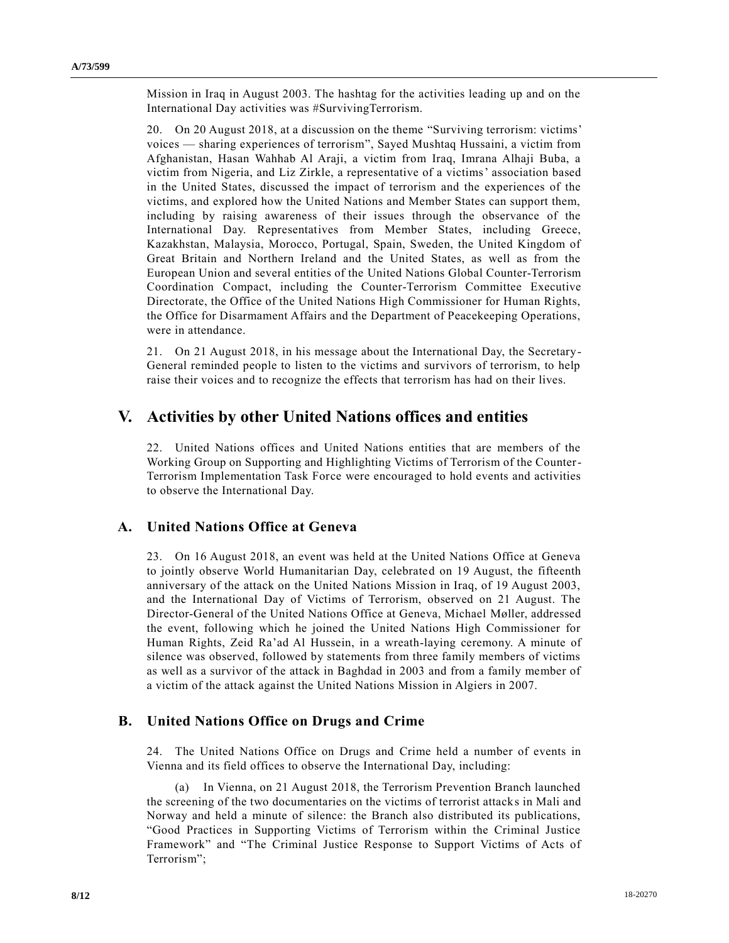Mission in Iraq in August 2003. The hashtag for the activities leading up and on the International Day activities was #SurvivingTerrorism.

20. On 20 August 2018, at a discussion on the theme "Surviving terrorism: victims' voices — sharing experiences of terrorism", Sayed Mushtaq Hussaini, a victim from Afghanistan, Hasan Wahhab Al Araji, a victim from Iraq, Imrana Alhaji Buba, a victim from Nigeria, and Liz Zirkle, a representative of a victims' association based in the United States, discussed the impact of terrorism and the experiences of the victims, and explored how the United Nations and Member States can support them, including by raising awareness of their issues through the observance of the International Day. Representatives from Member States, including Greece, Kazakhstan, Malaysia, Morocco, Portugal, Spain, Sweden, the United Kingdom of Great Britain and Northern Ireland and the United States, as well as from the European Union and several entities of the United Nations Global Counter-Terrorism Coordination Compact, including the Counter-Terrorism Committee Executive Directorate, the Office of the United Nations High Commissioner for Human Rights, the Office for Disarmament Affairs and the Department of Peacekeeping Operations, were in attendance.

21. On 21 August 2018, in his message about the International Day, the Secretary-General reminded people to listen to the victims and survivors of terrorism, to help raise their voices and to recognize the effects that terrorism has had on their lives.

### **V. Activities by other United Nations offices and entities**

22. United Nations offices and United Nations entities that are members of the Working Group on Supporting and Highlighting Victims of Terrorism of the Counter-Terrorism Implementation Task Force were encouraged to hold events and activities to observe the International Day.

### **A. United Nations Office at Geneva**

23. On 16 August 2018, an event was held at the United Nations Office at Geneva to jointly observe World Humanitarian Day, celebrated on 19 August, the fifteenth anniversary of the attack on the United Nations Mission in Iraq, of 19 August 2003, and the International Day of Victims of Terrorism, observed on 21 August. The Director-General of the United Nations Office at Geneva, Michael Møller, addressed the event, following which he joined the United Nations High Commissioner for Human Rights, Zeid Ra'ad Al Hussein, in a wreath-laying ceremony. A minute of silence was observed, followed by statements from three family members of victims as well as a survivor of the attack in Baghdad in 2003 and from a family member of a victim of the attack against the United Nations Mission in Algiers in 2007.

### **B. United Nations Office on Drugs and Crime**

24. The United Nations Office on Drugs and Crime held a number of events in Vienna and its field offices to observe the International Day, including:

(a) In Vienna, on 21 August 2018, the Terrorism Prevention Branch launched the screening of the two documentaries on the victims of terrorist attacks in Mali and Norway and held a minute of silence: the Branch also distributed its publications, "Good Practices in Supporting Victims of Terrorism within the Criminal Justice Framework" and "The Criminal Justice Response to Support Victims of Acts of Terrorism";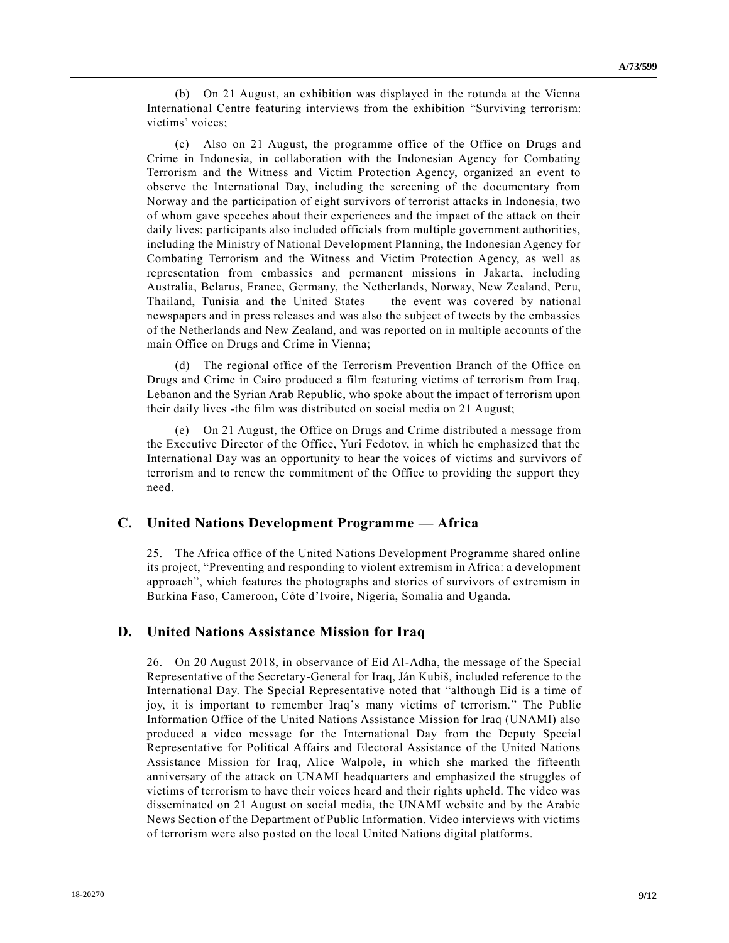(b) On 21 August, an exhibition was displayed in the rotunda at the Vienna International Centre featuring interviews from the exhibition "Surviving terrorism: victims' voices;

(c) Also on 21 August, the programme office of the Office on Drugs and Crime in Indonesia, in collaboration with the Indonesian Agency for Combating Terrorism and the Witness and Victim Protection Agency, organized an event to observe the International Day, including the screening of the documentary from Norway and the participation of eight survivors of terrorist attacks in Indonesia, two of whom gave speeches about their experiences and the impact of the attack on their daily lives: participants also included officials from multiple government authorities, including the Ministry of National Development Planning, the Indonesian Agency for Combating Terrorism and the Witness and Victim Protection Agency, as well as representation from embassies and permanent missions in Jakarta, including Australia, Belarus, France, Germany, the Netherlands, Norway, New Zealand, Peru, Thailand, Tunisia and the United States — the event was covered by national newspapers and in press releases and was also the subject of tweets by the embassies of the Netherlands and New Zealand, and was reported on in multiple accounts of the main Office on Drugs and Crime in Vienna;

(d) The regional office of the Terrorism Prevention Branch of the Office on Drugs and Crime in Cairo produced a film featuring victims of terrorism from Iraq, Lebanon and the Syrian Arab Republic, who spoke about the impact of terrorism upon their daily lives -the film was distributed on social media on 21 August;

(e) On 21 August, the Office on Drugs and Crime distributed a message from the Executive Director of the Office, Yuri Fedotov, in which he emphasized that the International Day was an opportunity to hear the voices of victims and survivors of terrorism and to renew the commitment of the Office to providing the support they need.

### **C. United Nations Development Programme — Africa**

25. The Africa office of the United Nations Development Programme shared online its project, "Preventing and responding to violent extremism in Africa: a development approach", which features the photographs and stories of survivors of extremism in Burkina Faso, Cameroon, Côte d'Ivoire, Nigeria, Somalia and Uganda.

#### **D. United Nations Assistance Mission for Iraq**

26. On 20 August 2018, in observance of Eid Al-Adha, the message of the Special Representative of the Secretary-General for Iraq, Ján Kubiš, included reference to the International Day. The Special Representative noted that "although Eid is a time of joy, it is important to remember Iraq's many victims of terrorism." The Public Information Office of the United Nations Assistance Mission for Iraq (UNAMI) also produced a video message for the International Day from the Deputy Specia l Representative for Political Affairs and Electoral Assistance of the United Nations Assistance Mission for Iraq, Alice Walpole, in which she marked the fifteenth anniversary of the attack on UNAMI headquarters and emphasized the struggles of victims of terrorism to have their voices heard and their rights upheld. The video was disseminated on 21 August on social media, the UNAMI website and by the Arabic News Section of the Department of Public Information. Video interviews with victims of terrorism were also posted on the local United Nations digital platforms.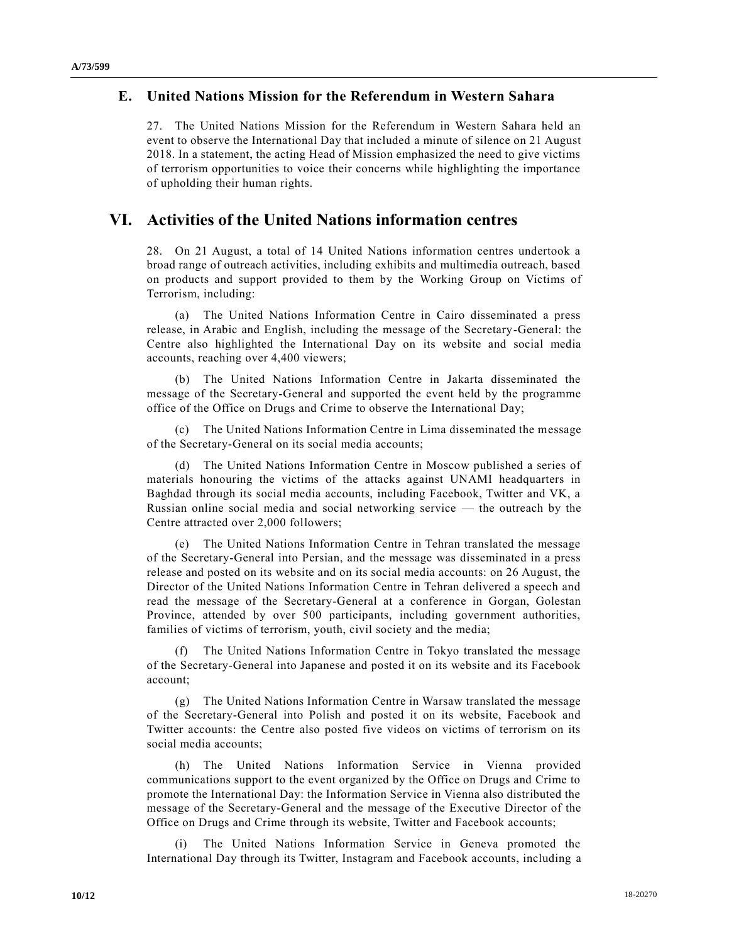#### **E. United Nations Mission for the Referendum in Western Sahara**

27. The United Nations Mission for the Referendum in Western Sahara held an event to observe the International Day that included a minute of silence on 21 August 2018. In a statement, the acting Head of Mission emphasized the need to give victims of terrorism opportunities to voice their concerns while highlighting the importance of upholding their human rights.

### **VI. Activities of the United Nations information centres**

28. On 21 August, a total of 14 United Nations information centres undertook a broad range of outreach activities, including exhibits and multimedia outreach, based on products and support provided to them by the Working Group on Victims of Terrorism, including:

(a) The United Nations Information Centre in Cairo disseminated a press release, in Arabic and English, including the message of the Secretary-General: the Centre also highlighted the International Day on its website and social media accounts, reaching over 4,400 viewers;

(b) The United Nations Information Centre in Jakarta disseminated the message of the Secretary-General and supported the event held by the programme office of the Office on Drugs and Crime to observe the International Day;

(c) The United Nations Information Centre in Lima disseminated the message of the Secretary-General on its social media accounts;

(d) The United Nations Information Centre in Moscow published a series of materials honouring the victims of the attacks against UNAMI headquarters in Baghdad through its social media accounts, including Facebook, Twitter and VK, a Russian online social media and social networking service — the outreach by the Centre attracted over 2,000 followers;

(e) The United Nations Information Centre in Tehran translated the message of the Secretary-General into Persian, and the message was disseminated in a press release and posted on its website and on its social media accounts: on 26 August, the Director of the United Nations Information Centre in Tehran delivered a speech and read the message of the Secretary-General at a conference in Gorgan, Golestan Province, attended by over 500 participants, including government authorities, families of victims of terrorism, youth, civil society and the media;

The United Nations Information Centre in Tokyo translated the message of the Secretary-General into Japanese and posted it on its website and its Facebook account;

(g) The United Nations Information Centre in Warsaw translated the message of the Secretary-General into Polish and posted it on its website, Facebook and Twitter accounts: the Centre also posted five videos on victims of terrorism on its social media accounts;

(h) The United Nations Information Service in Vienna provided communications support to the event organized by the Office on Drugs and Crime to promote the International Day: the Information Service in Vienna also distributed the message of the Secretary-General and the message of the Executive Director of the Office on Drugs and Crime through its website, Twitter and Facebook accounts;

The United Nations Information Service in Geneva promoted the International Day through its Twitter, Instagram and Facebook accounts, including a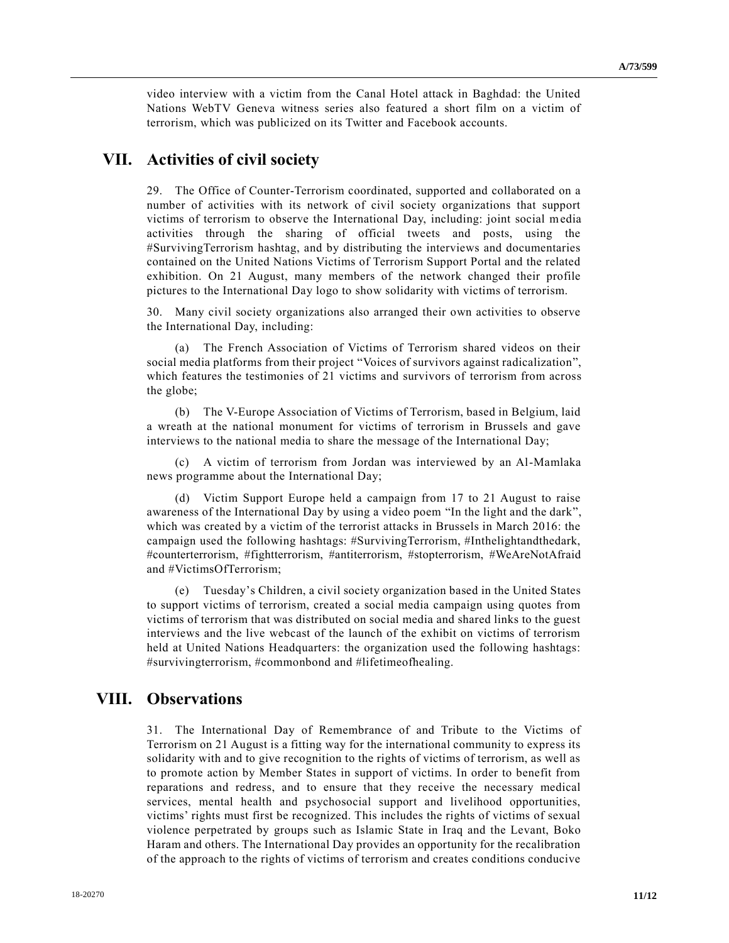video interview with a victim from the Canal Hotel attack in Baghdad: the United Nations WebTV Geneva witness series also featured a short film on a victim of terrorism, which was publicized on its Twitter and Facebook accounts.

### **VII. Activities of civil society**

29. The Office of Counter-Terrorism coordinated, supported and collaborated on a number of activities with its network of civil society organizations that support victims of terrorism to observe the International Day, including: joint social media activities through the sharing of official tweets and posts, using the #SurvivingTerrorism hashtag, and by distributing the interviews and documentaries contained on the United Nations Victims of Terrorism Support Portal and the related exhibition. On 21 August, many members of the network changed their profile pictures to the International Day logo to show solidarity with victims of terrorism.

30. Many civil society organizations also arranged their own activities to observe the International Day, including:

(a) The French Association of Victims of Terrorism shared videos on their social media platforms from their project "Voices of survivors against radicalization", which features the testimonies of 21 victims and survivors of terrorism from across the globe;

(b) The V-Europe Association of Victims of Terrorism, based in Belgium, laid a wreath at the national monument for victims of terrorism in Brussels and gave interviews to the national media to share the message of the International Day;

(c) A victim of terrorism from Jordan was interviewed by an Al-Mamlaka news programme about the International Day;

(d) Victim Support Europe held a campaign from 17 to 21 August to raise awareness of the International Day by using a video poem "In the light and the dark", which was created by a victim of the terrorist attacks in Brussels in March 2016: the campaign used the following hashtags: #SurvivingTerrorism, #Inthelightandthedark, #counterterrorism, #fightterrorism, #antiterrorism, #stopterrorism, #WeAreNotAfraid and #VictimsOfTerrorism;

(e) Tuesday's Children, a civil society organization based in the United States to support victims of terrorism, created a social media campaign using quotes from victims of terrorism that was distributed on social media and shared links to the guest interviews and the live webcast of the launch of the exhibit on victims of terrorism held at United Nations Headquarters: the organization used the following hashtags: #survivingterrorism, #commonbond and #lifetimeofhealing.

### **VIII. Observations**

31. The International Day of Remembrance of and Tribute to the Victims of Terrorism on 21 August is a fitting way for the international community to express its solidarity with and to give recognition to the rights of victims of terrorism, as well as to promote action by Member States in support of victims. In order to benefit from reparations and redress, and to ensure that they receive the necessary medical services, mental health and psychosocial support and livelihood opportunities, victims' rights must first be recognized. This includes the rights of victims of sexual violence perpetrated by groups such as Islamic State in Iraq and the Levant, Boko Haram and others. The International Day provides an opportunity for the recalibration of the approach to the rights of victims of terrorism and creates conditions conducive